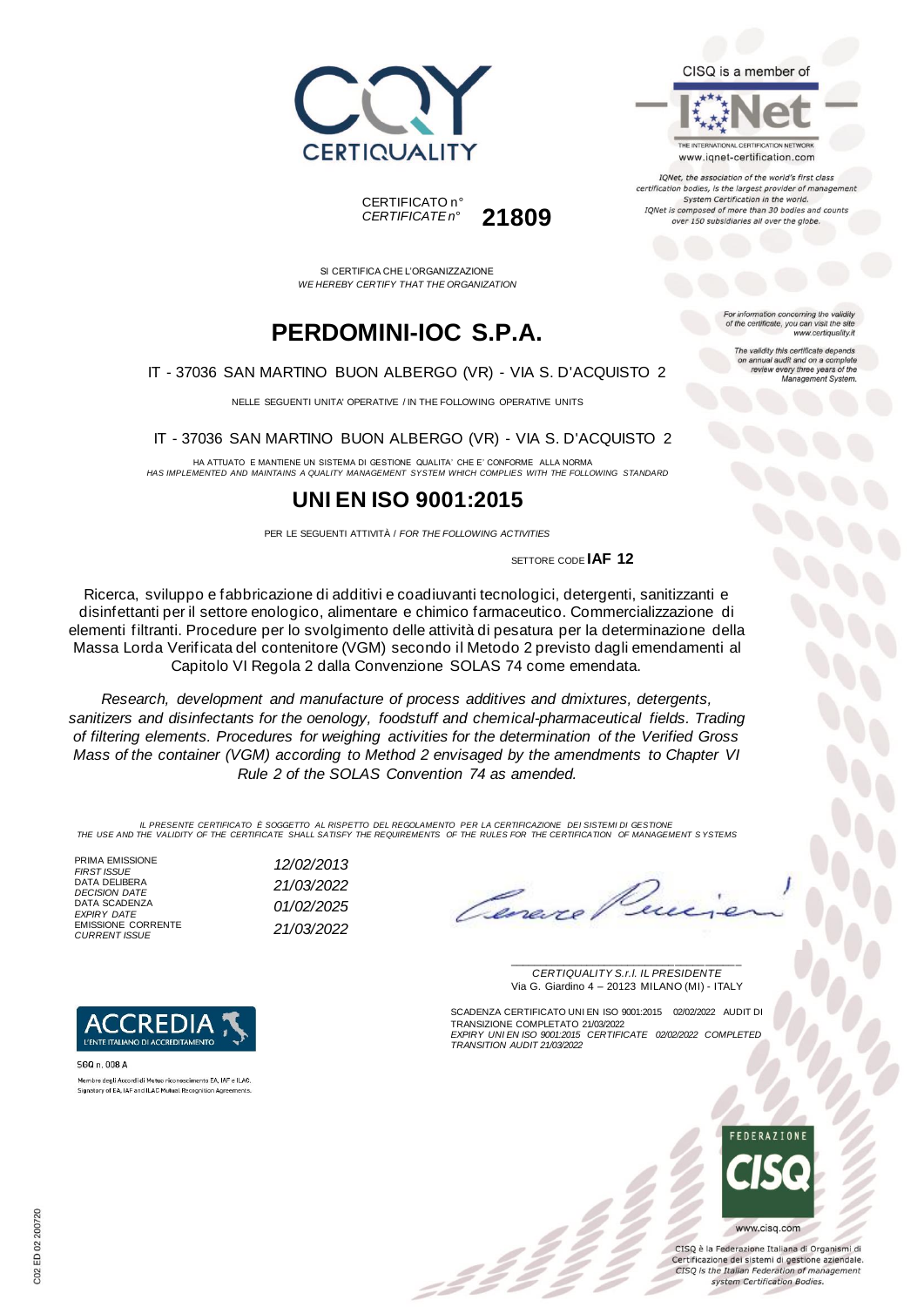





IQNet, the association of the world's first class certification bodies, is the largest provider of managen System Certification in the world. IQNet is composed of more than 30 bodies and counts over 150 subsidiaries all over the globe.

> tion concerning the validity of the certificate, you can visit the sit

The validity this certificate depends on annual audit and on a complete<br>review every three years of the<br>Management System.

www.certiquality.it

CERTIFICATO n° *CERTIFICATE n°* **21809**

SI CERTIFICA CHE L'ORGANIZZAZIONE *WE HEREBY CERTIFY THAT THE ORGANIZATION*

# **PERDOMINI-IOC S.P.A.**

IT - 37036 SAN MARTINO BUON ALBERGO (VR) - VIA S. D'ACQUISTO 2

NELLE SEGUENTI UNITA' OPERATIVE / IN THE FOLLOWING OPERATIVE UNITS

IT - 37036 SAN MARTINO BUON ALBERGO (VR) - VIA S. D'ACQUISTO 2

HA ATTUATO E MANTIENE UN SISTEMA DI GESTIONE QUALITA' CHE E' CONFORME ALLA NORMA *HAS IMPLEMENTED AND MAINTAINS A QUALITY MANAGEMENT SYSTEM WHICH COMPLIES WITH THE FOLLOWING STANDARD*

## **UNI EN ISO 9001:2015**

PER LE SEGUENTI ATTIVITÀ / *FOR THE FOLLOWING ACTIVITIES*

SETTORE CODE **IAF 12**

Ricerca, sviluppo e fabbricazione di additivi e coadiuvanti tecnologici, detergenti, sanitizzanti e disinfettanti per il settore enologico, alimentare e chimico farmaceutico. Commercializzazione di elementi filtranti. Procedure per lo svolgimento delle attività di pesatura per la determinazione della Massa Lorda Verificata del contenitore (VGM) secondo il Metodo 2 previsto dagli emendamenti al Capitolo VI Regola 2 dalla Convenzione SOLAS 74 come emendata.

*Research, development and manufacture of process additives and dmixtures, detergents, sanitizers and disinfectants for the oenology, foodstuff and chemical-pharmaceutical fields. Trading of filtering elements. Procedures for weighing activities for the determination of the Verified Gross Mass of the container (VGM) according to Method 2 envisaged by the amendments to Chapter VI Rule 2 of the SOLAS Convention 74 as amended.*

*IL PRESENTE CERTIFICATO È SOGGETTO AL RISPETTO DEL REGOLAMENTO PER LA CERTIFICAZIONE DEI SISTEMI DI GESTIONE THE USE AND THE VALIDITY OF THE CERTIFICATE SHALL SATISFY THE REQUIREMENTS OF THE RULES FOR THE CERTIFICATION OF MANAGEMENT S YSTEMS*

PRIMA EMISSIONE *FIRST ISSUE 12/02/2013* DATA DELIBERA *DECISION DATE 21/03/2022* DATA SCADENZA *EXPIRY DATE 01/02/2025* EMISSIONE CORRENTE





\_\_\_\_\_\_\_\_\_\_\_\_\_\_\_\_\_\_\_\_\_\_\_\_\_\_\_\_\_\_\_\_\_\_\_\_\_\_\_ *CERTIQUALITY S.r.l. IL PRESIDENTE* Via G. Giardino 4 – 20123 MILANO (MI) - ITALY

SCADENZA CERTIFICATO UNI EN ISO 9001:2015 02/02/2022 AUDIT DI TRANSIZIONE COMPLETATO 21/03/2022 *EXPIRY UNI EN ISO 9001:2015 CERTIFICATE 02/02/2022 COMPLETED TRANSITION AUDIT 21/03/2022*



CISO è la Federazione Italiana di Organismi di Certificazione dei sistemi di gestione aziendale. CISQ is the Italian Federation of management system Certification Bodies.



SGQ n. 008 A Membro degli Accordi di Mutuo riconoscimento EA, IAF e ILAC Signatory of EA, IAF and ILAC Mutual Recognition Agreements